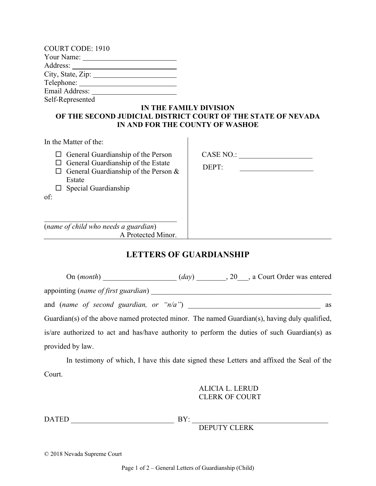| <b>COURT CODE: 1910</b> |
|-------------------------|
|                         |
| Address: _______        |
| City, State, Zip:       |
|                         |
| Email Address:          |
| Self-Represented        |

#### **IN THE FAMILY DIVISION OF THE SECOND JUDICIAL DISTRICT COURT OF THE STATE OF NEVADA IN AND FOR THE COUNTY OF WASHOE**

| In the Matter of the:                                                                                                                                                                 |                    |
|---------------------------------------------------------------------------------------------------------------------------------------------------------------------------------------|--------------------|
| $\Box$ General Guardianship of the Person<br>$\Box$ General Guardianship of the Estate<br>$\Box$ General Guardianship of the Person &<br>Estate<br>$\Box$ Special Guardianship<br>of: | CASE NO.:<br>DEPT: |
| (name of child who needs a guardian)                                                                                                                                                  |                    |
| A Protected Minor.                                                                                                                                                                    |                    |

# **LETTERS OF GUARDIANSHIP**

On (*month*) \_\_\_\_\_\_\_\_\_\_\_\_\_\_\_\_\_\_\_\_ (*day*) \_\_\_\_\_\_\_\_, 20\_\_\_, a Court Order was entered appointing (*name of first guardian*) \_\_\_\_\_\_\_\_\_\_\_\_\_\_\_\_\_\_\_\_\_\_\_\_\_\_\_\_\_\_\_\_\_\_\_\_\_\_\_\_\_\_\_\_\_\_\_\_\_ and (*name of second guardian, or "n/a"*) \_\_\_\_\_\_\_\_\_\_\_\_\_\_\_\_\_\_\_\_\_\_\_\_\_\_\_\_\_\_\_\_\_\_\_\_ as Guardian(s) of the above named protected minor. The named Guardian(s), having duly qualified, is/are authorized to act and has/have authority to perform the duties of such Guardian(s) as provided by law.

In testimony of which, I have this date signed these Letters and affixed the Seal of the Court.

# ALICIA L. LERUD CLERK OF COURT

DATED \_\_\_\_\_\_\_\_\_\_\_\_\_\_\_\_\_\_\_\_\_\_\_\_\_\_\_\_ BY: \_\_\_\_\_\_\_\_\_\_\_\_\_\_\_\_\_\_\_\_\_\_\_\_\_\_\_\_\_\_\_\_\_\_\_\_\_

DEPUTY CLERK

© 2018 Nevada Supreme Court